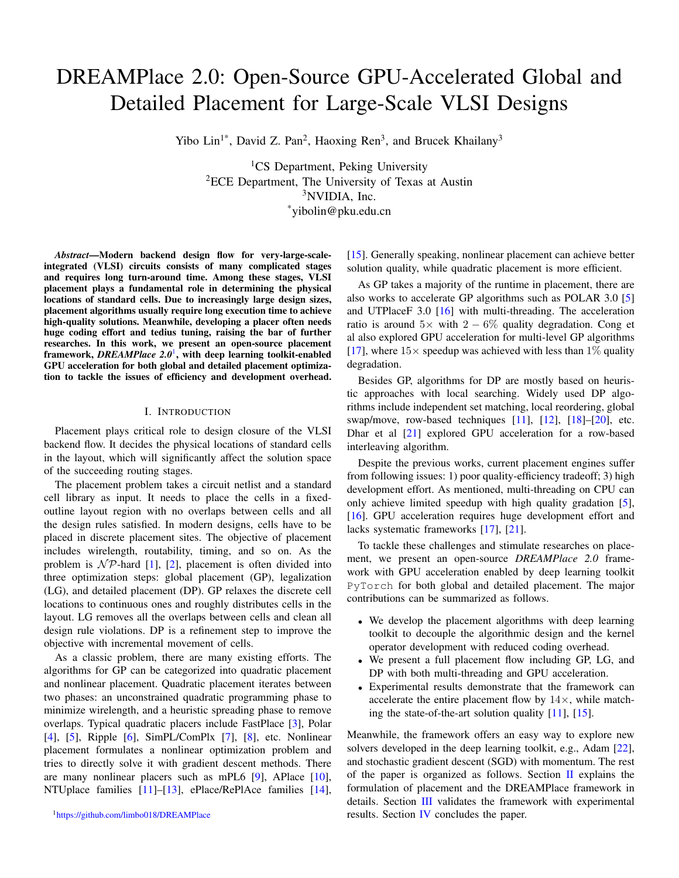# DREAMPlace 2.0: Open-Source GPU-Accelerated Global and Detailed Placement for Large-Scale VLSI Designs

Yibo Lin<sup>1\*</sup>, David Z. Pan<sup>2</sup>, Haoxing Ren<sup>3</sup>, and Brucek Khailany<sup>3</sup>

<sup>1</sup>CS Department, Peking University  ${}^{2}$ ECE Department, The University of Texas at Austin <sup>3</sup>NVIDIA, Inc. \*yibolin@pku.edu.cn

*Abstract*—Modern backend design flow for very-large-scaleintegrated (VLSI) circuits consists of many complicated stages and requires long turn-around time. Among these stages, VLSI placement plays a fundamental role in determining the physical locations of standard cells. Due to increasingly large design sizes, placement algorithms usually require long execution time to achieve high-quality solutions. Meanwhile, developing a placer often needs huge coding effort and tedius tuning, raising the bar of further researches. In this work, we present an open-source placement framework, *DREAMPlace 2.0*[1](#page-0-0) , with deep learning toolkit-enabled GPU acceleration for both global and detailed placement optimization to tackle the issues of efficiency and development overhead.

#### I. INTRODUCTION

Placement plays critical role to design closure of the VLSI backend flow. It decides the physical locations of standard cells in the layout, which will significantly affect the solution space of the succeeding routing stages.

The placement problem takes a circuit netlist and a standard cell library as input. It needs to place the cells in a fixedoutline layout region with no overlaps between cells and all the design rules satisfied. In modern designs, cells have to be placed in discrete placement sites. The objective of placement includes wirelength, routability, timing, and so on. As the problem is  $\mathcal{NP}$ -hard [\[1\]](#page-2-0), [\[2\]](#page-2-1), placement is often divided into three optimization steps: global placement (GP), legalization (LG), and detailed placement (DP). GP relaxes the discrete cell locations to continuous ones and roughly distributes cells in the layout. LG removes all the overlaps between cells and clean all design rule violations. DP is a refinement step to improve the objective with incremental movement of cells.

<span id="page-0-0"></span>As a classic problem, there are many existing efforts. The algorithms for GP can be categorized into quadratic placement and nonlinear placement. Quadratic placement iterates between two phases: an unconstrained quadratic programming phase to minimize wirelength, and a heuristic spreading phase to remove overlaps. Typical quadratic placers include FastPlace [\[3\]](#page-2-2), Polar [\[4\]](#page-3-0), [\[5\]](#page-3-1), Ripple [\[6\]](#page-3-2), SimPL/ComPlx [\[7\]](#page-3-3), [\[8\]](#page-3-4), etc. Nonlinear placement formulates a nonlinear optimization problem and tries to directly solve it with gradient descent methods. There are many nonlinear placers such as mPL6 [\[9\]](#page-3-5), APlace [\[10\]](#page-3-6), NTUplace families [\[11\]](#page-3-7)–[\[13\]](#page-3-8), ePlace/RePlAce families [\[14\]](#page-3-9),

[\[15\]](#page-3-10). Generally speaking, nonlinear placement can achieve better solution quality, while quadratic placement is more efficient.

As GP takes a majority of the runtime in placement, there are also works to accelerate GP algorithms such as POLAR 3.0 [\[5\]](#page-3-1) and UTPlaceF 3.0 [\[16\]](#page-3-11) with multi-threading. The acceleration ratio is around  $5\times$  with  $2-6\%$  quality degradation. Cong et al also explored GPU acceleration for multi-level GP algorithms [\[17\]](#page-3-12), where  $15\times$  speedup was achieved with less than  $1\%$  quality degradation.

Besides GP, algorithms for DP are mostly based on heuristic approaches with local searching. Widely used DP algorithms include independent set matching, local reordering, global swap/move, row-based techniques [\[11\]](#page-3-7), [\[12\]](#page-3-13), [\[18\]](#page-3-14)–[\[20\]](#page-3-15), etc. Dhar et al [\[21\]](#page-3-16) explored GPU acceleration for a row-based interleaving algorithm.

Despite the previous works, current placement engines suffer from following issues: 1) poor quality-efficiency tradeoff; 3) high development effort. As mentioned, multi-threading on CPU can only achieve limited speedup with high quality gradation [\[5\]](#page-3-1), [\[16\]](#page-3-11). GPU acceleration requires huge development effort and lacks systematic frameworks [\[17\]](#page-3-12), [\[21\]](#page-3-16).

To tackle these challenges and stimulate researches on placement, we present an open-source *DREAMPlace 2.0* framework with GPU acceleration enabled by deep learning toolkit PyTorch for both global and detailed placement. The major contributions can be summarized as follows.

- We develop the placement algorithms with deep learning toolkit to decouple the algorithmic design and the kernel operator development with reduced coding overhead.
- We present a full placement flow including GP, LG, and DP with both multi-threading and GPU acceleration.
- Experimental results demonstrate that the framework can accelerate the entire placement flow by  $14\times$ , while matching the state-of-the-art solution quality [\[11\]](#page-3-7), [\[15\]](#page-3-10).

Meanwhile, the framework offers an easy way to explore new solvers developed in the deep learning toolkit, e.g., Adam [\[22\]](#page-3-17), and stochastic gradient descent (SGD) with momentum. The rest of the paper is organized as follows. Section  $\mathbf I$  explains the formulation of placement and the DREAMPlace framework in details. Section [III](#page-2-3) validates the framework with experimental results. Section [IV](#page-2-4) concludes the paper.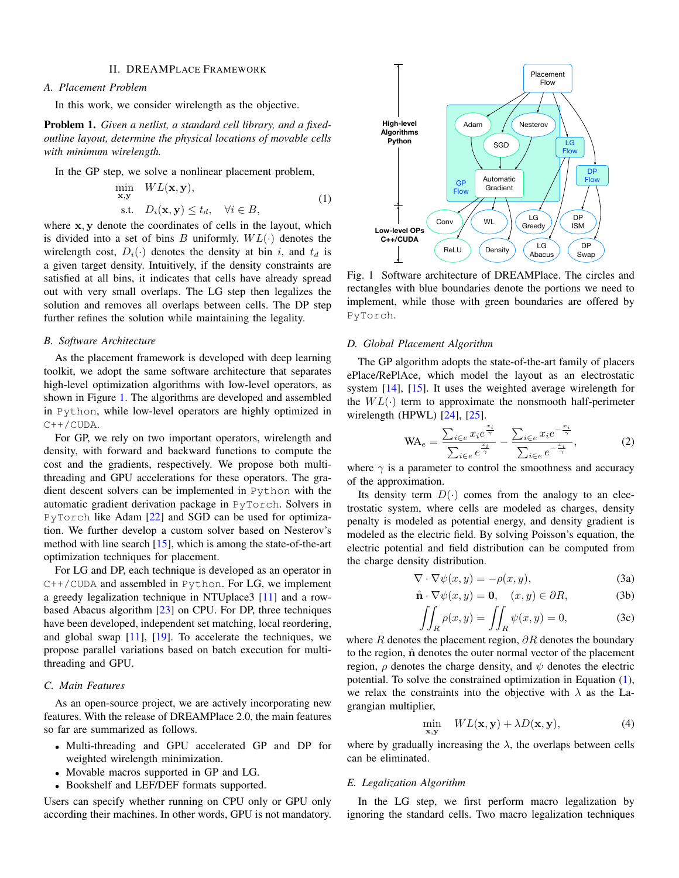## II. DREAMPLACE FRAMEWORK

## <span id="page-1-0"></span>*A. Placement Problem*

In this work, we consider wirelength as the objective.

Problem 1. *Given a netlist, a standard cell library, and a fixedoutline layout, determine the physical locations of movable cells with minimum wirelength.*

<span id="page-1-2"></span>In the GP step, we solve a nonlinear placement problem,

$$
\min_{\mathbf{x}, \mathbf{y}} \quad WL(\mathbf{x}, \mathbf{y}),
$$
\n
$$
\text{s.t.} \quad D_i(\mathbf{x}, \mathbf{y}) \le t_d, \quad \forall i \in B,
$$
\n
$$
(1)
$$

where x, y denote the coordinates of cells in the layout, which is divided into a set of bins B uniformly.  $WL(·)$  denotes the wirelength cost,  $D_i(\cdot)$  denotes the density at bin i, and  $t_d$  is a given target density. Intuitively, if the density constraints are satisfied at all bins, it indicates that cells have already spread out with very small overlaps. The LG step then legalizes the solution and removes all overlaps between cells. The DP step further refines the solution while maintaining the legality.

## *B. Software Architecture*

As the placement framework is developed with deep learning toolkit, we adopt the same software architecture that separates high-level optimization algorithms with low-level operators, as shown in Figure [1.](#page-1-1) The algorithms are developed and assembled in Python, while low-level operators are highly optimized in  $C++/CUDA.$ 

For GP, we rely on two important operators, wirelength and density, with forward and backward functions to compute the cost and the gradients, respectively. We propose both multithreading and GPU accelerations for these operators. The gradient descent solvers can be implemented in Python with the automatic gradient derivation package in PyTorch. Solvers in PyTorch like Adam [\[22\]](#page-3-17) and SGD can be used for optimization. We further develop a custom solver based on Nesterov's method with line search [\[15\]](#page-3-10), which is among the state-of-the-art optimization techniques for placement.

For LG and DP, each technique is developed as an operator in  $C++/CUDA$  and assembled in Python. For LG, we implement a greedy legalization technique in NTUplace3 [\[11\]](#page-3-7) and a rowbased Abacus algorithm [\[23\]](#page-3-18) on CPU. For DP, three techniques have been developed, independent set matching, local reordering, and global swap  $[11]$ ,  $[19]$ . To accelerate the techniques, we propose parallel variations based on batch execution for multithreading and GPU.

## *C. Main Features*

As an open-source project, we are actively incorporating new features. With the release of DREAMPlace 2.0, the main features so far are summarized as follows.

- Multi-threading and GPU accelerated GP and DP for weighted wirelength minimization.
- Movable macros supported in GP and LG.
- Bookshelf and LEF/DEF formats supported.

Users can specify whether running on CPU only or GPU only according their machines. In other words, GPU is not mandatory.

<span id="page-1-1"></span>

Fig. 1 Software architecture of DREAMPlace. The circles and rectangles with blue boundaries denote the portions we need to implement, while those with green boundaries are offered by PyTorch.

### *D. Global Placement Algorithm*

The GP algorithm adopts the state-of-the-art family of placers ePlace/RePlAce, which model the layout as an electrostatic system [\[14\]](#page-3-9), [\[15\]](#page-3-10). It uses the weighted average wirelength for the  $WL(·)$  term to approximate the nonsmooth half-perimeter wirelength (HPWL)  $[24]$ ,  $[25]$ .

$$
\text{WA}_e = \frac{\sum_{i \in e} x_i e^{\frac{x_i}{\gamma}}}{\sum_{i \in e} e^{\frac{x_i}{\gamma}}} - \frac{\sum_{i \in e} x_i e^{-\frac{x_i}{\gamma}}}{\sum_{i \in e} e^{-\frac{x_i}{\gamma}}},\tag{2}
$$

where  $\gamma$  is a parameter to control the smoothness and accuracy of the approximation.

Its density term  $D(\cdot)$  comes from the analogy to an electrostatic system, where cells are modeled as charges, density penalty is modeled as potential energy, and density gradient is modeled as the electric field. By solving Poisson's equation, the electric potential and field distribution can be computed from the charge density distribution.

$$
\nabla \cdot \nabla \psi(x, y) = -\rho(x, y),\tag{3a}
$$

$$
\hat{\mathbf{n}} \cdot \nabla \psi(x, y) = \mathbf{0}, \quad (x, y) \in \partial R,\tag{3b}
$$

$$
\iint_{R} \rho(x, y) = \iint_{R} \psi(x, y) = 0,
$$
 (3c)

where R denotes the placement region,  $\partial R$  denotes the boundary to the region,  $\hat{n}$  denotes the outer normal vector of the placement region,  $\rho$  denotes the charge density, and  $\psi$  denotes the electric potential. To solve the constrained optimization in Equation [\(1\)](#page-1-2), we relax the constraints into the objective with  $\lambda$  as the Lagrangian multiplier,

$$
\min_{\mathbf{x}, \mathbf{y}} \quad WL(\mathbf{x}, \mathbf{y}) + \lambda D(\mathbf{x}, \mathbf{y}), \tag{4}
$$

where by gradually increasing the  $\lambda$ , the overlaps between cells can be eliminated.

## *E. Legalization Algorithm*

In the LG step, we first perform macro legalization by ignoring the standard cells. Two macro legalization techniques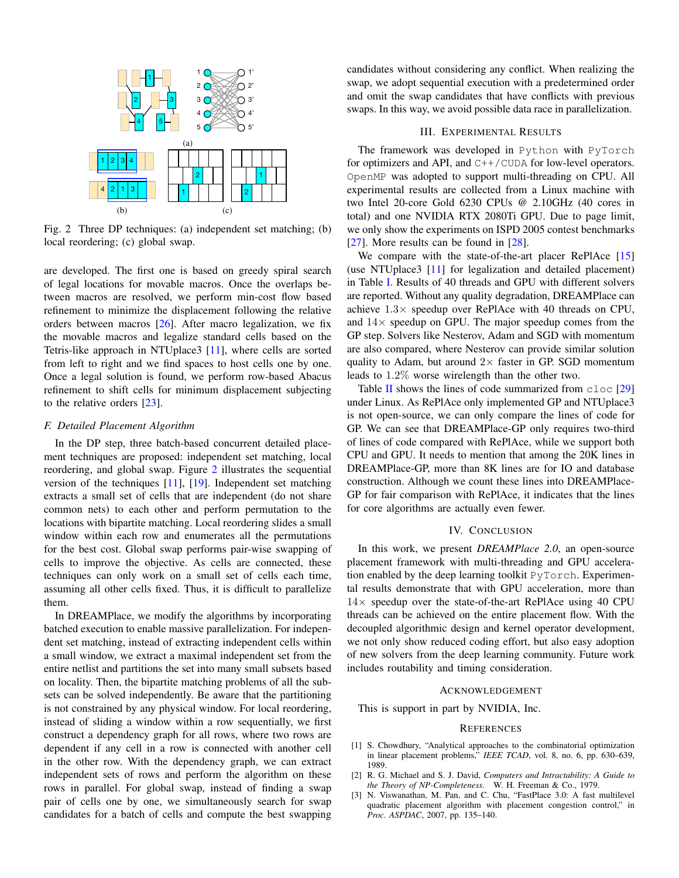<span id="page-2-5"></span>

Fig. 2 Three DP techniques: (a) independent set matching; (b) local reordering; (c) global swap.

are developed. The first one is based on greedy spiral search of legal locations for movable macros. Once the overlaps between macros are resolved, we perform min-cost flow based refinement to minimize the displacement following the relative orders between macros [\[26\]](#page-3-22). After macro legalization, we fix the movable macros and legalize standard cells based on the Tetris-like approach in NTUplace3 [\[11\]](#page-3-7), where cells are sorted from left to right and we find spaces to host cells one by one. Once a legal solution is found, we perform row-based Abacus refinement to shift cells for minimum displacement subjecting to the relative orders [\[23\]](#page-3-18).

## *F. Detailed Placement Algorithm*

In the DP step, three batch-based concurrent detailed placement techniques are proposed: independent set matching, local reordering, and global swap. Figure [2](#page-2-5) illustrates the sequential version of the techniques [\[11\]](#page-3-7), [\[19\]](#page-3-19). Independent set matching extracts a small set of cells that are independent (do not share common nets) to each other and perform permutation to the locations with bipartite matching. Local reordering slides a small window within each row and enumerates all the permutations for the best cost. Global swap performs pair-wise swapping of cells to improve the objective. As cells are connected, these techniques can only work on a small set of cells each time, assuming all other cells fixed. Thus, it is difficult to parallelize them.

In DREAMPlace, we modify the algorithms by incorporating batched execution to enable massive parallelization. For independent set matching, instead of extracting independent cells within a small window, we extract a maximal independent set from the entire netlist and partitions the set into many small subsets based on locality. Then, the bipartite matching problems of all the subsets can be solved independently. Be aware that the partitioning is not constrained by any physical window. For local reordering, instead of sliding a window within a row sequentially, we first construct a dependency graph for all rows, where two rows are dependent if any cell in a row is connected with another cell in the other row. With the dependency graph, we can extract independent sets of rows and perform the algorithm on these rows in parallel. For global swap, instead of finding a swap pair of cells one by one, we simultaneously search for swap candidates for a batch of cells and compute the best swapping candidates without considering any conflict. When realizing the swap, we adopt sequential execution with a predetermined order and omit the swap candidates that have conflicts with previous swaps. In this way, we avoid possible data race in parallelization.

# III. EXPERIMENTAL RESULTS

<span id="page-2-3"></span>The framework was developed in Python with PyTorch for optimizers and API, and  $C++/CUDA$  for low-level operators. OpenMP was adopted to support multi-threading on CPU. All experimental results are collected from a Linux machine with two Intel 20-core Gold 6230 CPUs @ 2.10GHz (40 cores in total) and one NVIDIA RTX 2080Ti GPU. Due to page limit, we only show the experiments on ISPD 2005 contest benchmarks [\[27\]](#page-3-23). More results can be found in [\[28\]](#page-3-24).

We compare with the state-of-the-art placer RePlAce [\[15\]](#page-3-10) (use NTUplace3 [\[11\]](#page-3-7) for legalization and detailed placement) in Table [I.](#page-3-25) Results of 40 threads and GPU with different solvers are reported. Without any quality degradation, DREAMPlace can achieve  $1.3 \times$  speedup over RePlAce with 40 threads on CPU, and  $14\times$  speedup on GPU. The major speedup comes from the GP step. Solvers like Nesterov, Adam and SGD with momentum are also compared, where Nesterov can provide similar solution quality to Adam, but around  $2\times$  faster in GP. SGD momentum leads to 1.2% worse wirelength than the other two.

Table [II](#page-3-26) shows the lines of code summarized from  $c \log |29|$ under Linux. As RePlAce only implemented GP and NTUplace3 is not open-source, we can only compare the lines of code for GP. We can see that DREAMPlace-GP only requires two-third of lines of code compared with RePlAce, while we support both CPU and GPU. It needs to mention that among the 20K lines in DREAMPlace-GP, more than 8K lines are for IO and database construction. Although we count these lines into DREAMPlace-GP for fair comparison with RePlAce, it indicates that the lines for core algorithms are actually even fewer.

# IV. CONCLUSION

<span id="page-2-4"></span>In this work, we present *DREAMPlace 2.0*, an open-source placement framework with multi-threading and GPU acceleration enabled by the deep learning toolkit PyTorch. Experimental results demonstrate that with GPU acceleration, more than  $14\times$  speedup over the state-of-the-art RePlAce using 40 CPU threads can be achieved on the entire placement flow. With the decoupled algorithmic design and kernel operator development, we not only show reduced coding effort, but also easy adoption of new solvers from the deep learning community. Future work includes routability and timing consideration.

## ACKNOWLEDGEMENT

This is support in part by NVIDIA, Inc.

### **REFERENCES**

- <span id="page-2-0"></span>[1] S. Chowdhury, "Analytical approaches to the combinatorial optimization in linear placement problems," *IEEE TCAD*, vol. 8, no. 6, pp. 630–639, 1989.
- <span id="page-2-1"></span>[2] R. G. Michael and S. J. David, *Computers and Intractability: A Guide to the Theory of NP-Completeness*. W. H. Freeman & Co., 1979.
- <span id="page-2-2"></span>[3] N. Viswanathan, M. Pan, and C. Chu, "FastPlace 3.0: A fast multilevel quadratic placement algorithm with placement congestion control," in *Proc. ASPDAC*, 2007, pp. 135–140.